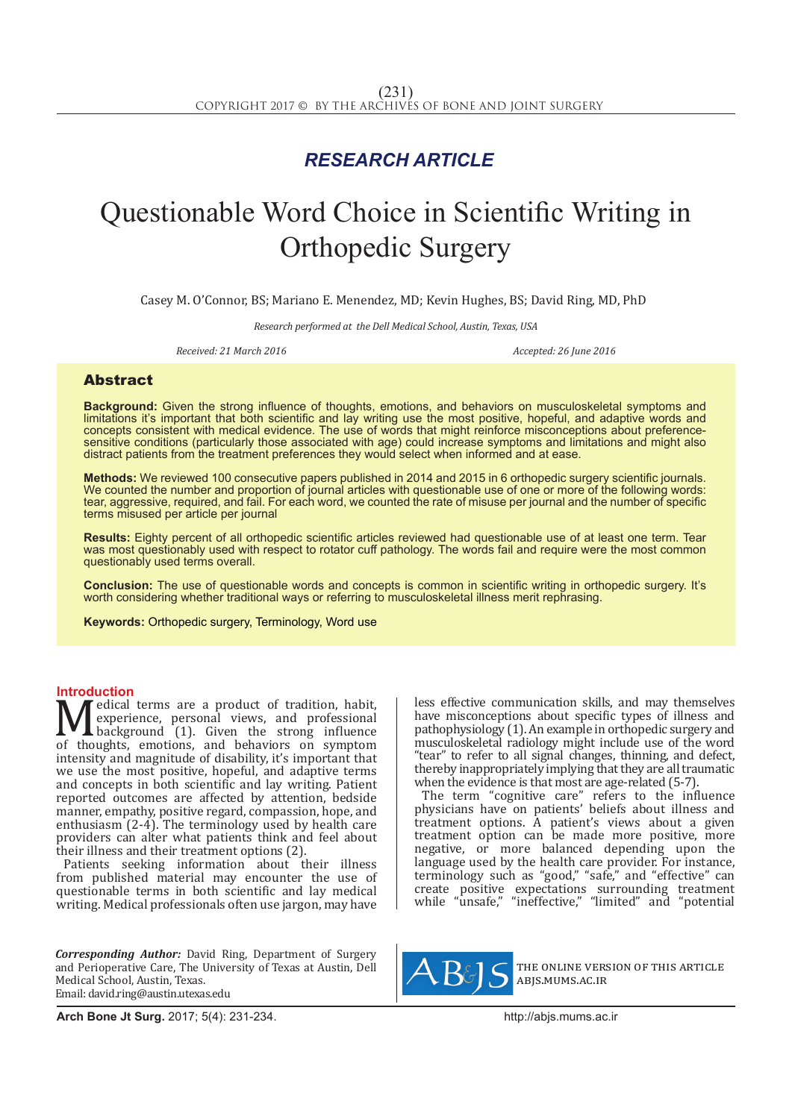## *RESEARCH ARTICLE*

# Questionable Word Choice in Scientific Writing in Orthopedic Surgery

Casey M. O'Connor, BS; Mariano E. Menendez, MD; Kevin Hughes, BS; David Ring, MD, PhD

*Research performed at the Dell Medical School, Austin, Texas, USA*

Received: 21 March 2016 **Accepted: 26 June 2016** Accepted: 26 June 2016

### Abstract

**Background:** Given the strong influence of thoughts, emotions, and behaviors on musculoskeletal symptoms and limitations it's important that both scientific and lay writing use the most positive, hopeful, and adaptive words and concepts consistent with medical evidence. The use of words that might reinforce misconceptions about preferencesensitive conditions (particularly those associated with age) could increase symptoms and limitations and might also distract patients from the treatment preferences they would select when informed and at ease.

**Methods:** We reviewed 100 consecutive papers published in 2014 and 2015 in 6 orthopedic surgery scientific journals. We counted the number and proportion of journal articles with questionable use of one or more of the following words: tear, aggressive, required, and fail. For each word, we counted the rate of misuse per journal and the number of specific terms misused per article per journal

**Results:** Eighty percent of all orthopedic scientific articles reviewed had questionable use of at least one term. Tear was most questionably used with respect to rotator cuff pathology. The words fail and require were the most common questionably used terms overall.

**Conclusion:** The use of questionable words and concepts is common in scientific writing in orthopedic surgery. It's worth considering whether traditional ways or referring to musculoskeletal illness merit rephrasing.

**Keywords:** Orthopedic surgery, Terminology, Word use

**Introduction**<br>**N** *A* edical terms are a product of tradition, habit, Medical terms are a product of tradition, habit,<br>experience, personal views, and professional<br>of thoughts, emotions, and behaviors on symptom<br>intensity and magnitude of disability it's important that experience, personal views, and professional background (1). Given the strong influence of thoughts, emotions, and behaviors on symptom intensity and magnitude of disability, it's important that we use the most positive, hopeful, and adaptive terms and concepts in both scientific and lay writing. Patient reported outcomes are affected by attention, bedside manner, empathy, positive regard, compassion, hope, and enthusiasm (2-4). The terminology used by health care providers can alter what patients think and feel about their illness and their treatment options (2).

Patients seeking information about their illness from published material may encounter the use of questionable terms in both scientific and lay medical writing. Medical professionals often use jargon, may have

*Corresponding Author:* David Ring, Department of Surgery and Perioperative Care, The University of Texas at Austin, Dell Medical School, Austin, Texas. Email: david.ring@austin.utexas.edu

less effective communication skills, and may themselves have misconceptions about specific types of illness and pathophysiology (1). An example in orthopedic surgery and musculoskeletal radiology might include use of the word "tear" to refer to all signal changes, thinning, and defect, thereby inappropriately implying that they are all traumatic when the evidence is that most are age-related (5-7).

The term "cognitive care" refers to the influence physicians have on patients' beliefs about illness and treatment options. A patient's views about a given treatment option can be made more positive, more negative, or more balanced depending upon the language used by the health care provider. For instance, terminology such as "good," "safe," and "effective" can create positive expectations surrounding treatment while "unsafe," "ineffective," "limited" and "potential



the online version of this article abjs.mums.ac.ir

**Arch Bone Jt Surg.** 2017; 5(4): 231-234.http://abjs.mums.ac.ir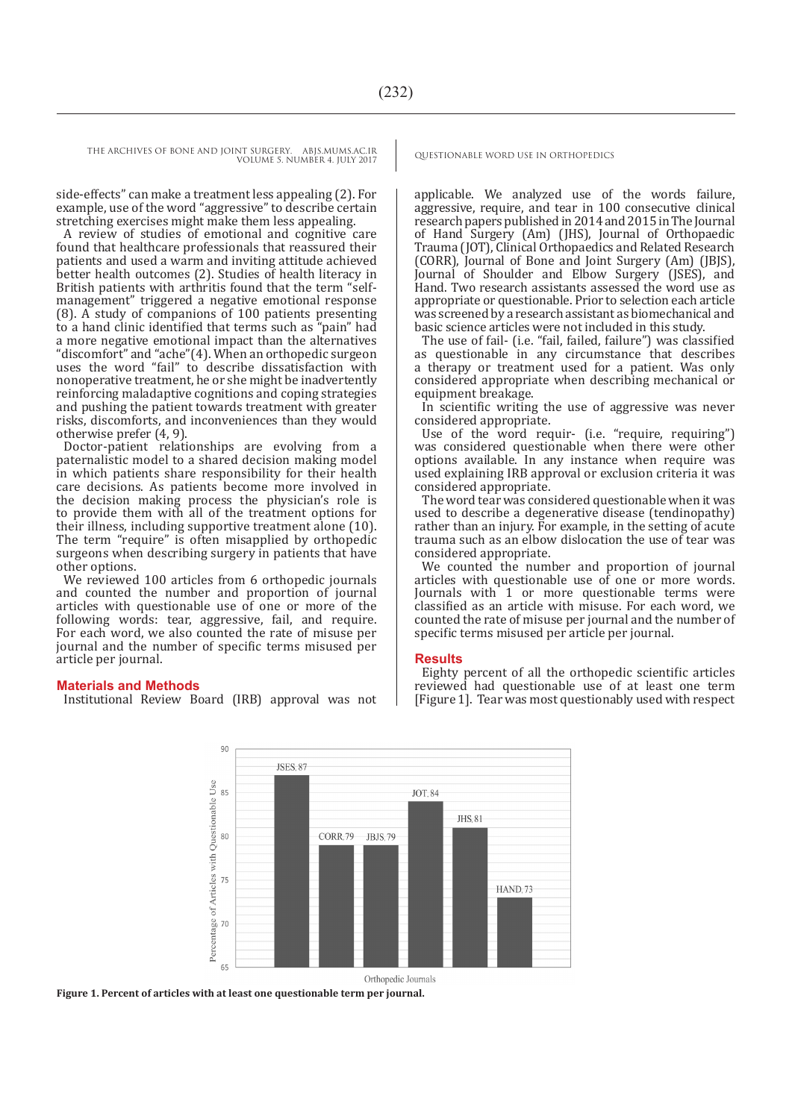THE ARCHIVES OF BONE AND JOINT SURGERY. ABJS.MUMS.AC.IR QUESTIONABLE WORD USE IN ORTHOPEDICS VOLUME 5. NUMBER 4. JULY 2017

side-effects" can make a treatment less appealing (2). For example, use of the word "aggressive" to describe certain stretching exercises might make them less appealing.

A review of studies of emotional and cognitive care found that healthcare professionals that reassured their patients and used a warm and inviting attitude achieved better health outcomes (2). Studies of health literacy in British patients with arthritis found that the term "selfmanagement" triggered a negative emotional response (8). A study of companions of 100 patients presenting to a hand clinic identified that terms such as "pain" had a more negative emotional impact than the alternatives "discomfort" and "ache"(4). When an orthopedic surgeon uses the word "fail" to describe dissatisfaction with nonoperative treatment, he or she might be inadvertently reinforcing maladaptive cognitions and coping strategies and pushing the patient towards treatment with greater risks, discomforts, and inconveniences than they would otherwise prefer (4, 9).

Doctor-patient relationships are evolving from a paternalistic model to a shared decision making model in which patients share responsibility for their health care decisions. As patients become more involved in the decision making process the physician's role is to provide them with all of the treatment options for their illness, including supportive treatment alone (10). The term "require" is often misapplied by orthopedic surgeons when describing surgery in patients that have other options.

We reviewed 100 articles from 6 orthopedic journals and counted the number and proportion of journal articles with questionable use of one or more of the following words: tear, aggressive, fail, and require. For each word, we also counted the rate of misuse per journal and the number of specific terms misused per article per journal.

#### **Materials and Methods**

Institutional Review Board (IRB) approval was not

applicable. We analyzed use of the words failure, aggressive, require, and tear in 100 consecutive clinical research papers published in 2014 and 2015 in The Journal of Hand Surgery (Am) (JHS), Journal of Orthopaedic Trauma (JOT), Clinical Orthopaedics and Related Research (CORR), Journal of Bone and Joint Surgery (Am) (JBJS), Journal of Shoulder and Elbow Surgery (JSES), and Hand. Two research assistants assessed the word use as appropriate or questionable. Prior to selection each article was screened by a research assistant as biomechanical and basic science articles were not included in this study.

The use of fail- (i.e. "fail, failed, failure") was classified as questionable in any circumstance that describes a therapy or treatment used for a patient. Was only considered appropriate when describing mechanical or equipment breakage.

In scientific writing the use of aggressive was never considered appropriate.

Use of the word requir- (i.e. "require, requiring") was considered questionable when there were other options available. In any instance when require was used explaining IRB approval or exclusion criteria it was considered appropriate.

The word tear was considered questionable when it was used to describe a degenerative disease (tendinopathy) rather than an injury. For example, in the setting of acute trauma such as an elbow dislocation the use of tear was considered appropriate.

We counted the number and proportion of journal articles with questionable use of one or more words. Journals with 1 or more questionable terms were classified as an article with misuse. For each word, we counted the rate of misuse per journal and the number of specific terms misused per article per journal.

#### **Results**

Eighty percent of all the orthopedic scientific articles reviewed had questionable use of at least one term [Figure 1]. Tear was most questionably used with respect



**Figure 1. Percent of articles with at least one questionable term per journal.**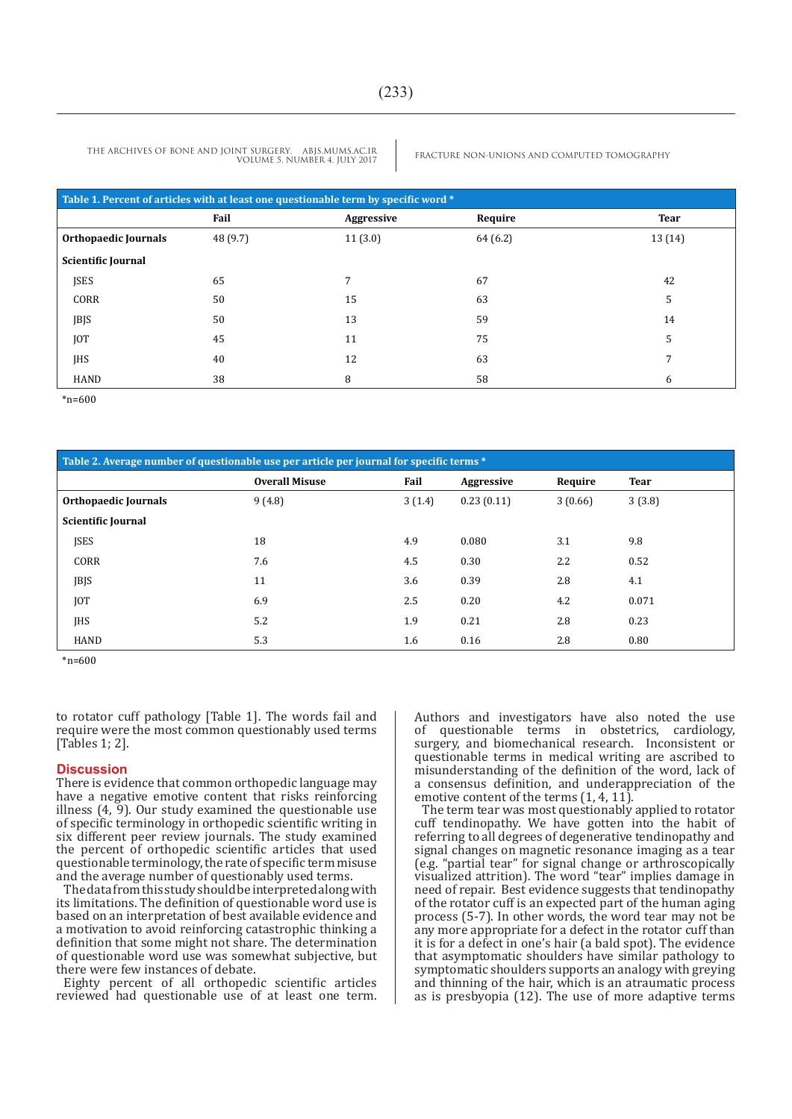THE ARCHIVES OF BONE AND JOINT SURGERY. ABJS.MUMS.AC.IR VOLUME 5. NUMBER 4. JULY 2017

FRACTURE NON-UNIONS AND COMPUTED TOMOGRAPHY

| Table 1. Percent of articles with at least one questionable term by specific word * |          |            |          |             |  |  |  |  |
|-------------------------------------------------------------------------------------|----------|------------|----------|-------------|--|--|--|--|
|                                                                                     | Fail     | Aggressive | Require  | <b>Tear</b> |  |  |  |  |
| Orthopaedic Journals                                                                | 48 (9.7) | 11(3.0)    | 64 (6.2) | 13(14)      |  |  |  |  |
| <b>Scientific Journal</b>                                                           |          |            |          |             |  |  |  |  |
| <b>JSES</b>                                                                         | 65       | 7          | 67       | 42          |  |  |  |  |
| CORR                                                                                | 50       | 15         | 63       | 5           |  |  |  |  |
| JBJS                                                                                | 50       | 13         | 59       | 14          |  |  |  |  |
| <b>JOT</b>                                                                          | 45       | 11         | 75       | 5           |  |  |  |  |
| <b>IHS</b>                                                                          | 40       | 12         | 63       | 7           |  |  |  |  |
| <b>HAND</b>                                                                         | 38       | 8          | 58       | 6           |  |  |  |  |

\*n=600

| Table 2. Average number of questionable use per article per journal for specific terms * |                       |        |            |         |             |  |  |  |
|------------------------------------------------------------------------------------------|-----------------------|--------|------------|---------|-------------|--|--|--|
|                                                                                          | <b>Overall Misuse</b> | Fail   | Aggressive | Require | <b>Tear</b> |  |  |  |
| <b>Orthopaedic Journals</b>                                                              | 9(4.8)                | 3(1.4) | 0.23(0.11) | 3(0.66) | 3(3.8)      |  |  |  |
| <b>Scientific Journal</b>                                                                |                       |        |            |         |             |  |  |  |
| <b>ISES</b>                                                                              | 18                    | 4.9    | 0.080      | 3.1     | 9.8         |  |  |  |
| CORR                                                                                     | 7.6                   | 4.5    | 0.30       | 2.2     | 0.52        |  |  |  |
| JBJS                                                                                     | 11                    | 3.6    | 0.39       | 2.8     | 4.1         |  |  |  |
| [0T]                                                                                     | 6.9                   | 2.5    | 0.20       | 4.2     | 0.071       |  |  |  |
| <b>IHS</b>                                                                               | 5.2                   | 1.9    | 0.21       | 2.8     | 0.23        |  |  |  |
| <b>HAND</b>                                                                              | 5.3                   | 1.6    | 0.16       | 2.8     | 0.80        |  |  |  |

\*n=600

to rotator cuff pathology [Table 1]. The words fail and require were the most common questionably used terms [Tables 1; 2].

#### **Discussion**

There is evidence that common orthopedic language may have a negative emotive content that risks reinforcing illness  $(4, 9)$ . Our study examined the questionable use of specific terminology in orthopedic scientific writing in six different peer review journals. The study examined the percent of orthopedic scientific articles that used questionable terminology, the rate of specific term misuse and the average number of questionably used terms.

The data from this study should be interpreted along with its limitations. The definition of questionable word use is based on an interpretation of best available evidence and a motivation to avoid reinforcing catastrophic thinking a definition that some might not share. The determination of questionable word use was somewhat subjective, but there were few instances of debate.

Eighty percent of all orthopedic scientific articles reviewed had questionable use of at least one term. Authors and investigators have also noted the use<br>of questionable terms in obstetrics, cardiology, questionable terms in obstetrics, cardiology, surgery, and biomechanical research. Inconsistent or questionable terms in medical writing are ascribed to misunderstanding of the definition of the word, lack of a consensus definition, and underappreciation of the emotive content of the terms  $(1, 4, 11)$ .

The term tear was most questionably applied to rotator cuff tendinopathy. We have gotten into the habit of referring to all degrees of degenerative tendinopathy and signal changes on magnetic resonance imaging as a tear (e.g. "partial tear" for signal change or arthroscopically visualized attrition). The word "tear" implies damage in need of repair. Best evidence suggests that tendinopathy of the rotator cuff is an expected part of the human aging process (5-7). In other words, the word tear may not be any more appropriate for a defect in the rotator cuff than it is for a defect in one's hair (a bald spot). The evidence that asymptomatic shoulders have similar pathology to symptomatic shoulders supports an analogy with greying and thinning of the hair, which is an atraumatic process as is presbyopia (12). The use of more adaptive terms